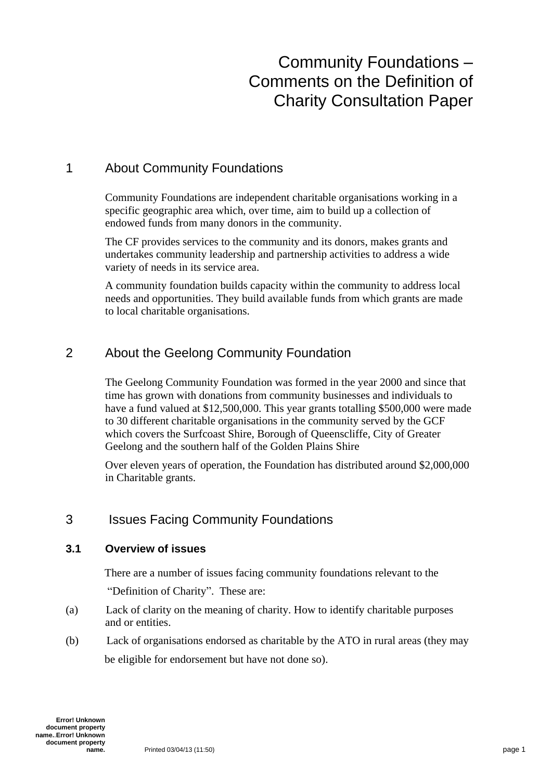# Community Foundations – Comments on the Definition of Charity Consultation Paper

### 1 About Community Foundations

Community Foundations are independent charitable organisations working in a specific geographic area which, over time, aim to build up a collection of endowed funds from many donors in the community.

The CF provides services to the community and its donors, makes grants and undertakes community leadership and partnership activities to address a wide variety of needs in its service area.

A community foundation builds capacity within the community to address local needs and opportunities. They build available funds from which grants are made to local charitable organisations.

### 2 About the Geelong Community Foundation

The Geelong Community Foundation was formed in the year 2000 and since that time has grown with donations from community businesses and individuals to have a fund valued at \$12,500,000. This year grants totalling \$500,000 were made to 30 different charitable organisations in the community served by the GCF which covers the Surfcoast Shire, Borough of Queenscliffe, City of Greater Geelong and the southern half of the Golden Plains Shire

Over eleven years of operation, the Foundation has distributed around \$2,000,000 in Charitable grants.

### 3 Issues Facing Community Foundations

### **3.1 Overview of issues**

There are a number of issues facing community foundations relevant to the

"Definition of Charity". These are:

- (a) Lack of clarity on the meaning of charity. How to identify charitable purposes and or entities.
- (b) Lack of organisations endorsed as charitable by the ATO in rural areas (they may be eligible for endorsement but have not done so).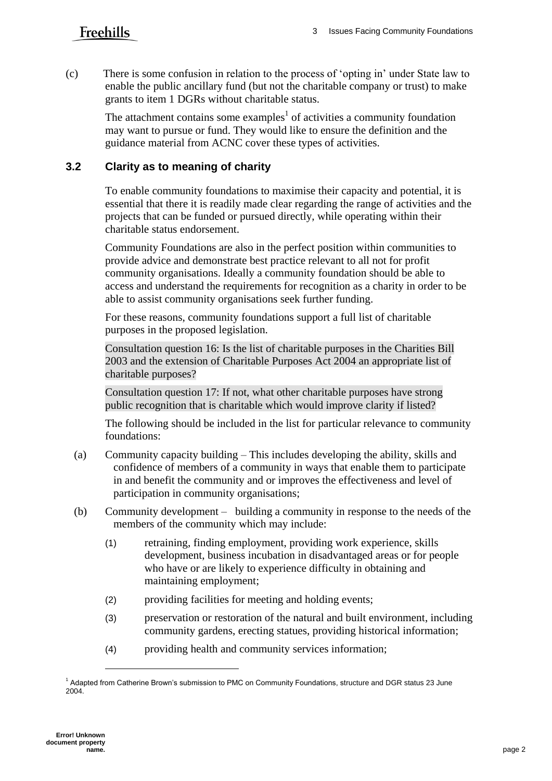## Freehills

(c) There is some confusion in relation to the process of 'opting in' under State law to enable the public ancillary fund (but not the charitable company or trust) to make grants to item 1 DGRs without charitable status.

The attachment contains some examples<sup>1</sup> of activities a community foundation may want to pursue or fund. They would like to ensure the definition and the guidance material from ACNC cover these types of activities.

### **3.2 Clarity as to meaning of charity**

To enable community foundations to maximise their capacity and potential, it is essential that there it is readily made clear regarding the range of activities and the projects that can be funded or pursued directly, while operating within their charitable status endorsement.

Community Foundations are also in the perfect position within communities to provide advice and demonstrate best practice relevant to all not for profit community organisations. Ideally a community foundation should be able to access and understand the requirements for recognition as a charity in order to be able to assist community organisations seek further funding.

For these reasons, community foundations support a full list of charitable purposes in the proposed legislation.

Consultation question 16: Is the list of charitable purposes in the Charities Bill 2003 and the extension of Charitable Purposes Act 2004 an appropriate list of charitable purposes?

Consultation question 17: If not, what other charitable purposes have strong public recognition that is charitable which would improve clarity if listed?

The following should be included in the list for particular relevance to community foundations:

- (a) Community capacity building This includes developing the ability, skills and confidence of members of a community in ways that enable them to participate in and benefit the community and or improves the effectiveness and level of participation in community organisations;
- (b) Community development building a community in response to the needs of the members of the community which may include:
	- (1) retraining, finding employment, providing work experience, skills development, business incubation in disadvantaged areas or for people who have or are likely to experience difficulty in obtaining and maintaining employment;
	- (2) providing facilities for meeting and holding events;
	- (3) preservation or restoration of the natural and built environment, including community gardens, erecting statues, providing historical information;
	- (4) providing health and community services information;

l

<sup>&</sup>lt;sup>1</sup> Adapted from Catherine Brown's submission to PMC on Community Foundations, structure and DGR status 23 June 2004.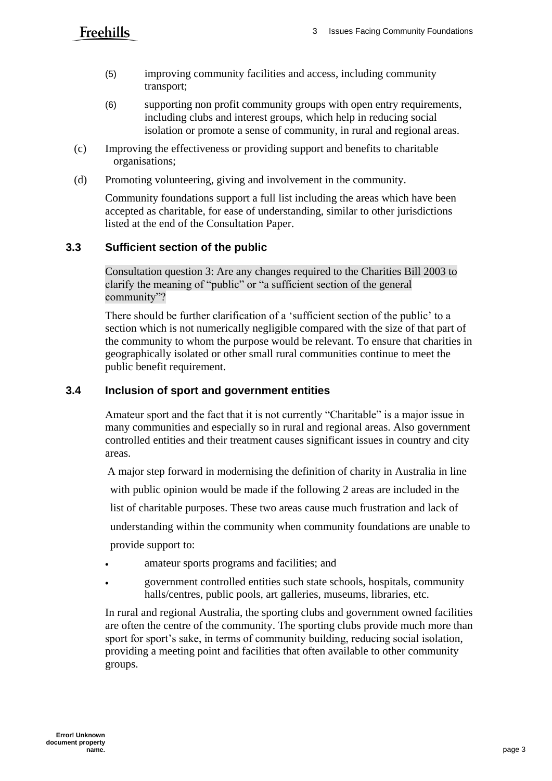## Freehills

- (5) improving community facilities and access, including community transport;
- (6) supporting non profit community groups with open entry requirements, including clubs and interest groups, which help in reducing social isolation or promote a sense of community, in rural and regional areas.
- (c) Improving the effectiveness or providing support and benefits to charitable organisations;
- (d) Promoting volunteering, giving and involvement in the community.

Community foundations support a full list including the areas which have been accepted as charitable, for ease of understanding, similar to other jurisdictions listed at the end of the Consultation Paper.

### **3.3 Sufficient section of the public**

Consultation question 3: Are any changes required to the Charities Bill 2003 to clarify the meaning of "public" or "a sufficient section of the general community"?

There should be further clarification of a 'sufficient section of the public' to a section which is not numerically negligible compared with the size of that part of the community to whom the purpose would be relevant. To ensure that charities in geographically isolated or other small rural communities continue to meet the public benefit requirement.

### **3.4 Inclusion of sport and government entities**

Amateur sport and the fact that it is not currently "Charitable" is a major issue in many communities and especially so in rural and regional areas. Also government controlled entities and their treatment causes significant issues in country and city areas.

A major step forward in modernising the definition of charity in Australia in line

with public opinion would be made if the following 2 areas are included in the

list of charitable purposes. These two areas cause much frustration and lack of

understanding within the community when community foundations are unable to

provide support to:

- amateur sports programs and facilities; and
- government controlled entities such state schools, hospitals, community halls/centres, public pools, art galleries, museums, libraries, etc.

In rural and regional Australia, the sporting clubs and government owned facilities are often the centre of the community. The sporting clubs provide much more than sport for sport's sake, in terms of community building, reducing social isolation, providing a meeting point and facilities that often available to other community groups.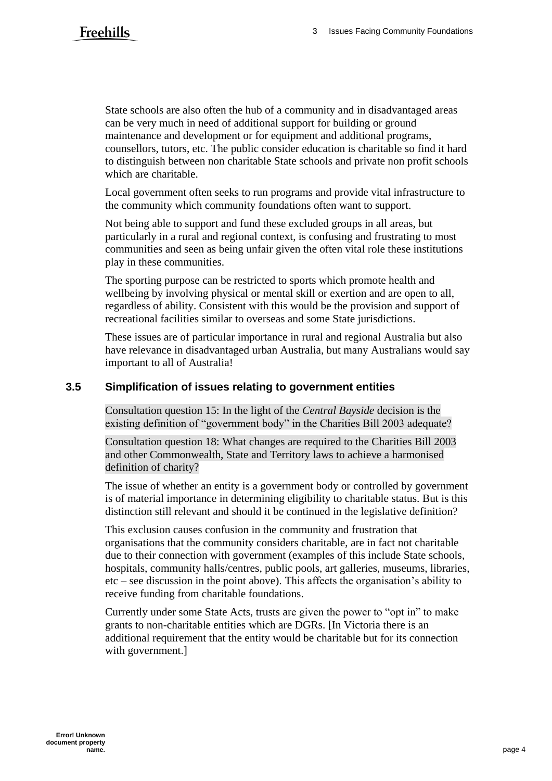State schools are also often the hub of a community and in disadvantaged areas can be very much in need of additional support for building or ground maintenance and development or for equipment and additional programs, counsellors, tutors, etc. The public consider education is charitable so find it hard to distinguish between non charitable State schools and private non profit schools which are charitable.

Local government often seeks to run programs and provide vital infrastructure to the community which community foundations often want to support.

Not being able to support and fund these excluded groups in all areas, but particularly in a rural and regional context, is confusing and frustrating to most communities and seen as being unfair given the often vital role these institutions play in these communities.

The sporting purpose can be restricted to sports which promote health and wellbeing by involving physical or mental skill or exertion and are open to all, regardless of ability. Consistent with this would be the provision and support of recreational facilities similar to overseas and some State jurisdictions.

These issues are of particular importance in rural and regional Australia but also have relevance in disadvantaged urban Australia, but many Australians would say important to all of Australia!

### **3.5 Simplification of issues relating to government entities**

Consultation question 15: In the light of the *Central Bayside* decision is the existing definition of "government body" in the Charities Bill 2003 adequate?

Consultation question 18: What changes are required to the Charities Bill 2003 and other Commonwealth, State and Territory laws to achieve a harmonised definition of charity?

The issue of whether an entity is a government body or controlled by government is of material importance in determining eligibility to charitable status. But is this distinction still relevant and should it be continued in the legislative definition?

This exclusion causes confusion in the community and frustration that organisations that the community considers charitable, are in fact not charitable due to their connection with government (examples of this include State schools, hospitals, community halls/centres, public pools, art galleries, museums, libraries, etc – see discussion in the point above). This affects the organisation's ability to receive funding from charitable foundations.

Currently under some State Acts, trusts are given the power to "opt in" to make grants to non-charitable entities which are DGRs. [In Victoria there is an additional requirement that the entity would be charitable but for its connection with government.]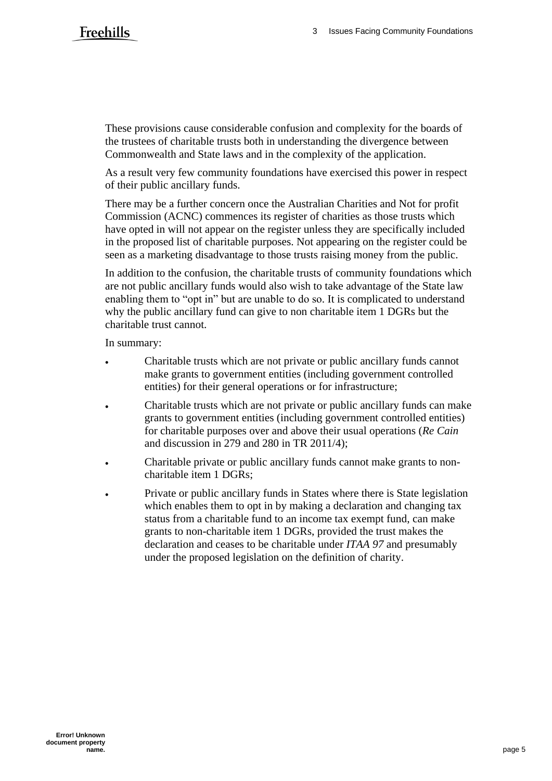These provisions cause considerable confusion and complexity for the boards of the trustees of charitable trusts both in understanding the divergence between Commonwealth and State laws and in the complexity of the application.

As a result very few community foundations have exercised this power in respect of their public ancillary funds.

There may be a further concern once the Australian Charities and Not for profit Commission (ACNC) commences its register of charities as those trusts which have opted in will not appear on the register unless they are specifically included in the proposed list of charitable purposes. Not appearing on the register could be seen as a marketing disadvantage to those trusts raising money from the public.

In addition to the confusion, the charitable trusts of community foundations which are not public ancillary funds would also wish to take advantage of the State law enabling them to "opt in" but are unable to do so. It is complicated to understand why the public ancillary fund can give to non charitable item 1 DGRs but the charitable trust cannot.

In summary:

- Charitable trusts which are not private or public ancillary funds cannot make grants to government entities (including government controlled entities) for their general operations or for infrastructure;
- Charitable trusts which are not private or public ancillary funds can make grants to government entities (including government controlled entities) for charitable purposes over and above their usual operations (*Re Cain* and discussion in 279 and 280 in TR 2011/4);
- Charitable private or public ancillary funds cannot make grants to noncharitable item 1 DGRs;
- Private or public ancillary funds in States where there is State legislation which enables them to opt in by making a declaration and changing tax status from a charitable fund to an income tax exempt fund, can make grants to non-charitable item 1 DGRs, provided the trust makes the declaration and ceases to be charitable under *ITAA 97* and presumably under the proposed legislation on the definition of charity.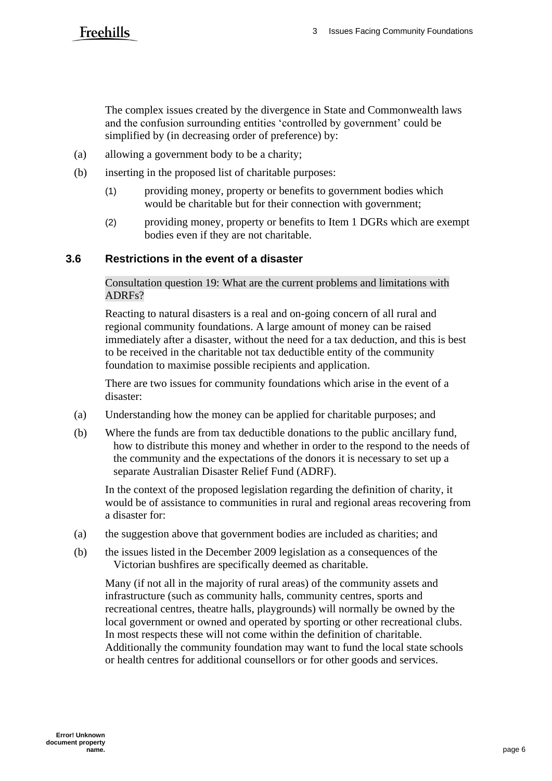## **Freehills**

The complex issues created by the divergence in State and Commonwealth laws and the confusion surrounding entities 'controlled by government' could be simplified by (in decreasing order of preference) by:

- (a) allowing a government body to be a charity;
- (b) inserting in the proposed list of charitable purposes:
	- (1) providing money, property or benefits to government bodies which would be charitable but for their connection with government;
	- (2) providing money, property or benefits to Item 1 DGRs which are exempt bodies even if they are not charitable.

### **3.6 Restrictions in the event of a disaster**

Consultation question 19: What are the current problems and limitations with ADRFs?

Reacting to natural disasters is a real and on-going concern of all rural and regional community foundations. A large amount of money can be raised immediately after a disaster, without the need for a tax deduction, and this is best to be received in the charitable not tax deductible entity of the community foundation to maximise possible recipients and application.

There are two issues for community foundations which arise in the event of a disaster:

- (a) Understanding how the money can be applied for charitable purposes; and
- (b) Where the funds are from tax deductible donations to the public ancillary fund, how to distribute this money and whether in order to the respond to the needs of the community and the expectations of the donors it is necessary to set up a separate Australian Disaster Relief Fund (ADRF).

In the context of the proposed legislation regarding the definition of charity, it would be of assistance to communities in rural and regional areas recovering from a disaster for:

- (a) the suggestion above that government bodies are included as charities; and
- (b) the issues listed in the December 2009 legislation as a consequences of the Victorian bushfires are specifically deemed as charitable.

Many (if not all in the majority of rural areas) of the community assets and infrastructure (such as community halls, community centres, sports and recreational centres, theatre halls, playgrounds) will normally be owned by the local government or owned and operated by sporting or other recreational clubs. In most respects these will not come within the definition of charitable. Additionally the community foundation may want to fund the local state schools or health centres for additional counsellors or for other goods and services.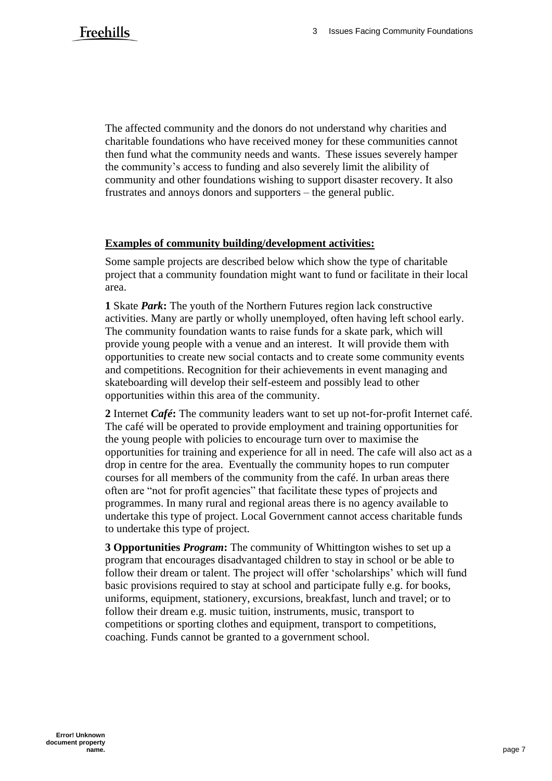The affected community and the donors do not understand why charities and charitable foundations who have received money for these communities cannot then fund what the community needs and wants. These issues severely hamper the community's access to funding and also severely limit the alibility of community and other foundations wishing to support disaster recovery. It also frustrates and annoys donors and supporters – the general public.

#### **Examples of community building/development activities:**

Some sample projects are described below which show the type of charitable project that a community foundation might want to fund or facilitate in their local area.

**1** Skate *Park***:** The youth of the Northern Futures region lack constructive activities. Many are partly or wholly unemployed, often having left school early. The community foundation wants to raise funds for a skate park, which will provide young people with a venue and an interest. It will provide them with opportunities to create new social contacts and to create some community events and competitions. Recognition for their achievements in event managing and skateboarding will develop their self-esteem and possibly lead to other opportunities within this area of the community.

**2** Internet *Café***:** The community leaders want to set up not-for-profit Internet café. The café will be operated to provide employment and training opportunities for the young people with policies to encourage turn over to maximise the opportunities for training and experience for all in need. The cafe will also act as a drop in centre for the area. Eventually the community hopes to run computer courses for all members of the community from the café. In urban areas there often are "not for profit agencies" that facilitate these types of projects and programmes. In many rural and regional areas there is no agency available to undertake this type of project. Local Government cannot access charitable funds to undertake this type of project.

**3 Opportunities** *Program***:** The community of Whittington wishes to set up a program that encourages disadvantaged children to stay in school or be able to follow their dream or talent. The project will offer 'scholarships' which will fund basic provisions required to stay at school and participate fully e.g. for books, uniforms, equipment, stationery, excursions, breakfast, lunch and travel; or to follow their dream e.g. music tuition, instruments, music, transport to competitions or sporting clothes and equipment, transport to competitions, coaching. Funds cannot be granted to a government school.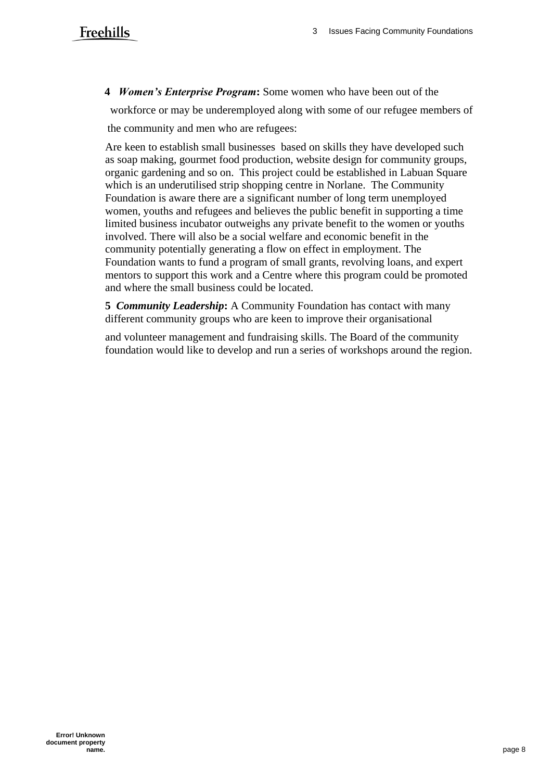**4** *Women's Enterprise Program***:** Some women who have been out of the

 workforce or may be underemployed along with some of our refugee members of the community and men who are refugees:

Are keen to establish small businesses based on skills they have developed such as soap making, gourmet food production, website design for community groups, organic gardening and so on. This project could be established in Labuan Square which is an underutilised strip shopping centre in Norlane. The Community Foundation is aware there are a significant number of long term unemployed women, youths and refugees and believes the public benefit in supporting a time limited business incubator outweighs any private benefit to the women or youths involved. There will also be a social welfare and economic benefit in the community potentially generating a flow on effect in employment. The Foundation wants to fund a program of small grants, revolving loans, and expert mentors to support this work and a Centre where this program could be promoted and where the small business could be located.

**5** *Community Leadership***:** A Community Foundation has contact with many different community groups who are keen to improve their organisational

and volunteer management and fundraising skills. The Board of the community foundation would like to develop and run a series of workshops around the region.